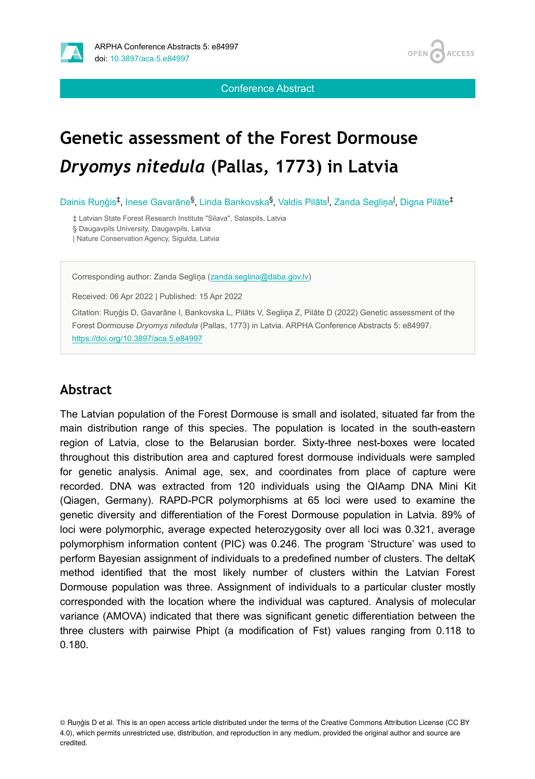

**OPEN ACCESS** 

Conference Abstract

# **Genetic assessment of the Forest Dormouse**  *Dryomys nitedula* **(Pallas, 1773) in Latvia**

Dainis Ruņģis<sup>‡</sup>, Inese Gavarāne<sup>§</sup>, Linda Bankovska<sup>§</sup>, Valdis Pilāts<sup>I</sup>, Zanda Segliņa<sup>l</sup>, Digna Pilāte<sup>‡</sup>

‡ Latvian State Forest Research Institute "Silava", Salaspils, Latvia

§ Daugavpils University, Daugavpils, Latvia

| Nature Conservation Agency, Sigulda, Latvia

Corresponding author: Zanda Segliņa ([zanda.seglina@daba.gov.lv\)](mailto:zanda.seglina@daba.gov.lv)

Received: 06 Apr 2022 | Published: 15 Apr 2022

Citation: Ruņģis D, Gavarāne I, Bankovska L, Pilāts V, Segliņa Z, Pilāte D (2022) Genetic assessment of the Forest Dormouse *Dryomys nitedula* (Pallas, 1773) in Latvia. ARPHA Conference Abstracts 5: e84997. <https://doi.org/10.3897/aca.5.e84997>

#### **Abstract**

The Latvian population of the Forest Dormouse is small and isolated, situated far from the main distribution range of this species. The population is located in the south-eastern region of Latvia, close to the Belarusian border. Sixty-three nest-boxes were located throughout this distribution area and captured forest dormouse individuals were sampled for genetic analysis. Animal age, sex, and coordinates from place of capture were recorded. DNA was extracted from 120 individuals using the QIAamp DNA Mini Kit (Qiagen, Germany). RAPD-PCR polymorphisms at 65 loci were used to examine the genetic diversity and differentiation of the Forest Dormouse population in Latvia. 89% of loci were polymorphic, average expected heterozygosity over all loci was 0.321, average polymorphism information content (PIC) was 0.246. The program 'Structure' was used to perform Bayesian assignment of individuals to a predefined number of clusters. The deltaK method identified that the most likely number of clusters within the Latvian Forest Dormouse population was three. Assignment of individuals to a particular cluster mostly corresponded with the location where the individual was captured. Analysis of molecular variance (AMOVA) indicated that there was significant genetic differentiation between the three clusters with pairwise Phipt (a modification of Fst) values ranging from 0.118 to 0.180.

© Ruņģis D et al. This is an open access article distributed under the terms of the Creative Commons Attribution License (CC BY 4.0), which permits unrestricted use, distribution, and reproduction in any medium, provided the original author and source are credited.